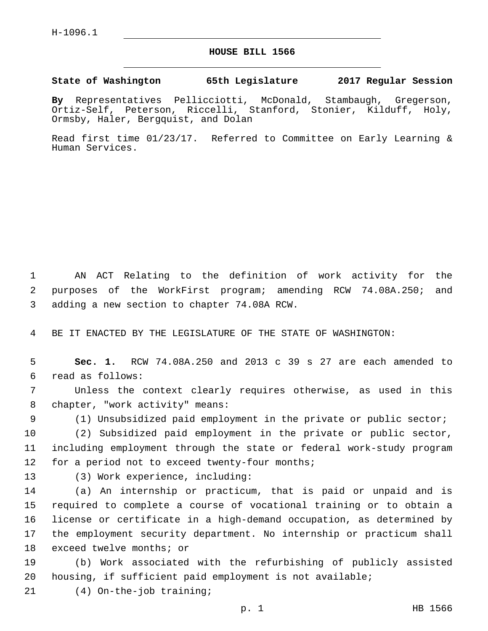## **HOUSE BILL 1566**

## **State of Washington 65th Legislature 2017 Regular Session**

**By** Representatives Pellicciotti, McDonald, Stambaugh, Gregerson, Ortiz-Self, Peterson, Riccelli, Stanford, Stonier, Kilduff, Holy, Ormsby, Haler, Bergquist, and Dolan

Read first time 01/23/17. Referred to Committee on Early Learning & Human Services.

1 AN ACT Relating to the definition of work activity for the 2 purposes of the WorkFirst program; amending RCW 74.08A.250; and 3 adding a new section to chapter 74.08A RCW.

4 BE IT ENACTED BY THE LEGISLATURE OF THE STATE OF WASHINGTON:

5 **Sec. 1.** RCW 74.08A.250 and 2013 c 39 s 27 are each amended to read as follows:6

7 Unless the context clearly requires otherwise, as used in this 8 chapter, "work activity" means:

9 (1) Unsubsidized paid employment in the private or public sector;

10 (2) Subsidized paid employment in the private or public sector, 11 including employment through the state or federal work-study program 12 for a period not to exceed twenty-four months;

13 (3) Work experience, including:

 (a) An internship or practicum, that is paid or unpaid and is required to complete a course of vocational training or to obtain a license or certificate in a high-demand occupation, as determined by the employment security department. No internship or practicum shall 18 exceed twelve months; or

19 (b) Work associated with the refurbishing of publicly assisted 20 housing, if sufficient paid employment is not available;

21 (4) On-the-job training;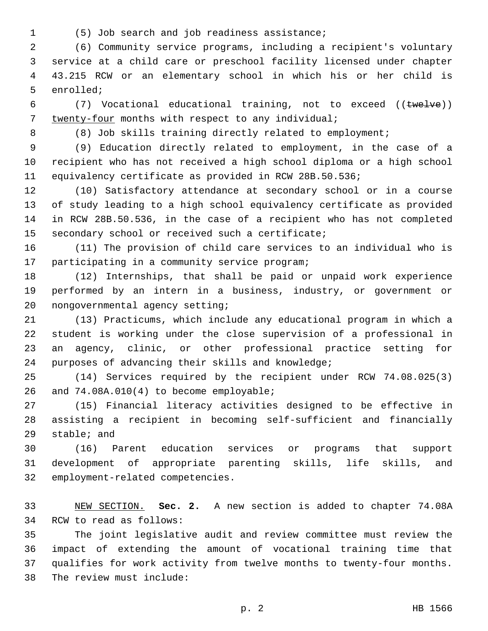- 
- (5) Job search and job readiness assistance;1

 (6) Community service programs, including a recipient's voluntary service at a child care or preschool facility licensed under chapter 43.215 RCW or an elementary school in which his or her child is 5 enrolled;

 (7) Vocational educational training, not to exceed ((twelve)) twenty-four months with respect to any individual;7

8 (8) Job skills training directly related to employment;

 (9) Education directly related to employment, in the case of a recipient who has not received a high school diploma or a high school equivalency certificate as provided in RCW 28B.50.536;

 (10) Satisfactory attendance at secondary school or in a course of study leading to a high school equivalency certificate as provided in RCW 28B.50.536, in the case of a recipient who has not completed 15 secondary school or received such a certificate;

 (11) The provision of child care services to an individual who is 17 participating in a community service program;

 (12) Internships, that shall be paid or unpaid work experience performed by an intern in a business, industry, or government or 20 nongovernmental agency setting;

 (13) Practicums, which include any educational program in which a student is working under the close supervision of a professional in an agency, clinic, or other professional practice setting for 24 purposes of advancing their skills and knowledge;

 (14) Services required by the recipient under RCW 74.08.025(3) 26 and 74.08A.010(4) to become employable;

 (15) Financial literacy activities designed to be effective in assisting a recipient in becoming self-sufficient and financially 29 stable; and

 (16) Parent education services or programs that support development of appropriate parenting skills, life skills, and 32 employment-related competencies.

 NEW SECTION. **Sec. 2.** A new section is added to chapter 74.08A 34 RCW to read as follows:

 The joint legislative audit and review committee must review the impact of extending the amount of vocational training time that qualifies for work activity from twelve months to twenty-four months. 38 The review must include: